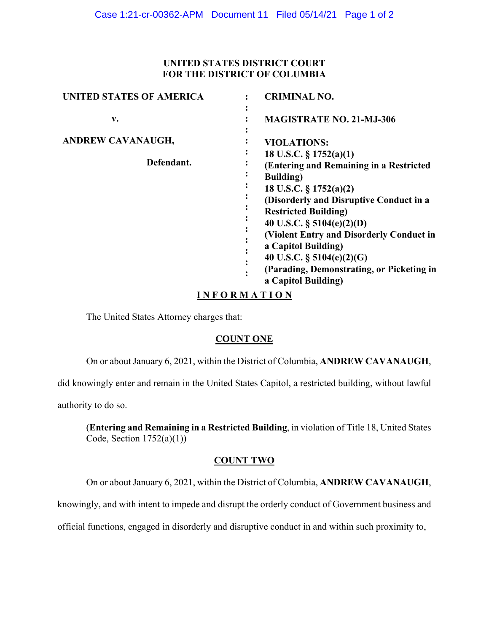### **UNITED STATES DISTRICT COURT FOR THE DISTRICT OF COLUMBIA**

| <b>UNITED STATES OF AMERICA</b> | <b>CRIMINAL NO.</b>                            |
|---------------------------------|------------------------------------------------|
| v.                              | $\bullet$<br><b>MAGISTRATE NO. 21-MJ-306</b>   |
| <b>ANDREW CAVANAUGH,</b>        | <b>VIOLATIONS:</b>                             |
| Defendant.                      | 18 U.S.C. $\S 1752(a)(1)$                      |
|                                 | (Entering and Remaining in a Restricted        |
|                                 | <b>Building</b> )                              |
|                                 | 18 U.S.C. $\S 1752(a)(2)$                      |
|                                 | (Disorderly and Disruptive Conduct in a        |
|                                 | <b>Restricted Building)</b>                    |
|                                 | 40 U.S.C. $\S$ 5104(e)(2)(D)                   |
|                                 | (Violent Entry and Disorderly Conduct in       |
|                                 | a Capitol Building)                            |
|                                 | 40 U.S.C. $\S$ 5104(e)(2)(G)                   |
|                                 | (Parading, Demonstrating, or Picketing in<br>٠ |
|                                 | a Capitol Building)                            |

# **I N F O R M A T I O N**

The United States Attorney charges that:

# **COUNT ONE**

On or about January 6, 2021, within the District of Columbia, **ANDREW CAVANAUGH**,

did knowingly enter and remain in the United States Capitol, a restricted building, without lawful

authority to do so.

(**Entering and Remaining in a Restricted Building**, in violation of Title 18, United States Code, Section  $1752(a)(1)$ )

#### **COUNT TWO**

On or about January 6, 2021, within the District of Columbia, **ANDREW CAVANAUGH**,

knowingly, and with intent to impede and disrupt the orderly conduct of Government business and

official functions, engaged in disorderly and disruptive conduct in and within such proximity to,